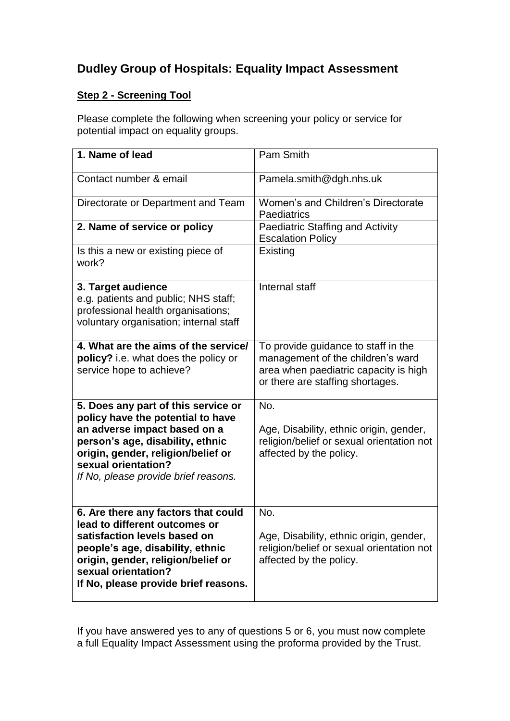## **Dudley Group of Hospitals: Equality Impact Assessment**

## **Step 2 - Screening Tool**

Please complete the following when screening your policy or service for potential impact on equality groups.

| 1. Name of lead                                                                                                                                                                                                                                   | Pam Smith                                                                                                                                             |
|---------------------------------------------------------------------------------------------------------------------------------------------------------------------------------------------------------------------------------------------------|-------------------------------------------------------------------------------------------------------------------------------------------------------|
| Contact number & email                                                                                                                                                                                                                            | Pamela.smith@dgh.nhs.uk                                                                                                                               |
| Directorate or Department and Team                                                                                                                                                                                                                | Women's and Children's Directorate<br>Paediatrics                                                                                                     |
| 2. Name of service or policy                                                                                                                                                                                                                      | <b>Paediatric Staffing and Activity</b><br><b>Escalation Policy</b>                                                                                   |
| Is this a new or existing piece of<br>work?                                                                                                                                                                                                       | Existing                                                                                                                                              |
| 3. Target audience<br>e.g. patients and public; NHS staff;<br>professional health organisations;<br>voluntary organisation; internal staff                                                                                                        | Internal staff                                                                                                                                        |
| 4. What are the aims of the service/<br>policy? i.e. what does the policy or<br>service hope to achieve?                                                                                                                                          | To provide guidance to staff in the<br>management of the children's ward<br>area when paediatric capacity is high<br>or there are staffing shortages. |
| 5. Does any part of this service or<br>policy have the potential to have<br>an adverse impact based on a<br>person's age, disability, ethnic<br>origin, gender, religion/belief or<br>sexual orientation?<br>If No, please provide brief reasons. | No.<br>Age, Disability, ethnic origin, gender,<br>religion/belief or sexual orientation not<br>affected by the policy.                                |
| 6. Are there any factors that could<br>lead to different outcomes or<br>satisfaction levels based on<br>people's age, disability, ethnic<br>origin, gender, religion/belief or<br>sexual orientation?<br>If No, please provide brief reasons.     | No.<br>Age, Disability, ethnic origin, gender,<br>religion/belief or sexual orientation not<br>affected by the policy.                                |

If you have answered yes to any of questions 5 or 6, you must now complete a full Equality Impact Assessment using the proforma provided by the Trust.